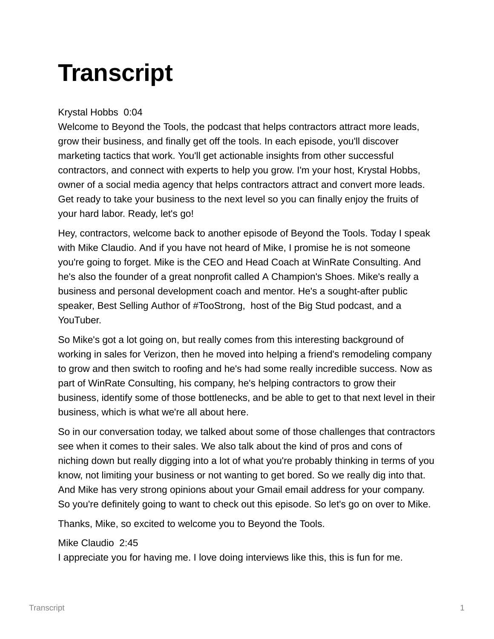# **Transcript**

# Krystal Hobbs 0:04

Welcome to Beyond the Tools, the podcast that helps contractors attract more leads, grow their business, and finally get off the tools. In each episode, you'll discover marketing tactics that work. You'll get actionable insights from other successful contractors, and connect with experts to help you grow. I'm your host, Krystal Hobbs, owner of a social media agency that helps contractors attract and convert more leads. Get ready to take your business to the next level so you can finally enjoy the fruits of your hard labor. Ready, let's go!

Hey, contractors, welcome back to another episode of Beyond the Tools. Today I speak with Mike Claudio. And if you have not heard of Mike, I promise he is not someone you're going to forget. Mike is the CEO and Head Coach at WinRate Consulting. And he's also the founder of a great nonprofit called A Champion's Shoes. Mike's really a business and personal development coach and mentor. He's a sought-after public speaker, Best Selling Author of #TooStrong, host of the Big Stud podcast, and a YouTuber.

So Mike's got a lot going on, but really comes from this interesting background of working in sales for Verizon, then he moved into helping a friend's remodeling company to grow and then switch to roofing and he's had some really incredible success. Now as part of WinRate Consulting, his company, he's helping contractors to grow their business, identify some of those bottlenecks, and be able to get to that next level in their business, which is what we're all about here.

So in our conversation today, we talked about some of those challenges that contractors see when it comes to their sales. We also talk about the kind of pros and cons of niching down but really digging into a lot of what you're probably thinking in terms of you know, not limiting your business or not wanting to get bored. So we really dig into that. And Mike has very strong opinions about your Gmail email address for your company. So you're definitely going to want to check out this episode. So let's go on over to Mike.

Thanks, Mike, so excited to welcome you to Beyond the Tools.

# Mike Claudio 2:45

I appreciate you for having me. I love doing interviews like this, this is fun for me.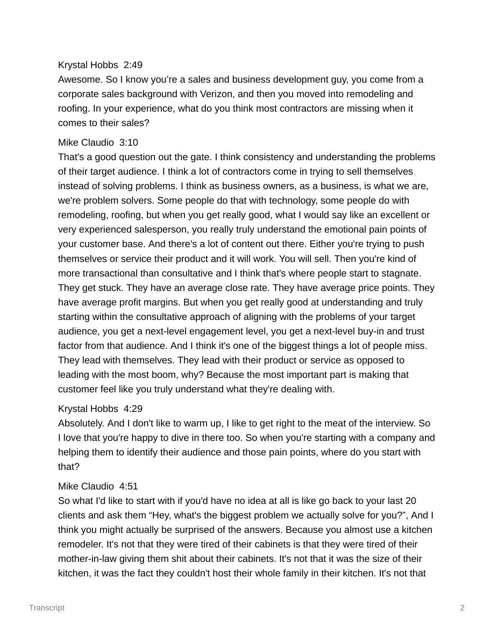# Krystal Hobbs 2:49

Awesome. So I know you're a sales and business development guy, you come from a corporate sales background with Verizon, and then you moved into remodeling and roofing. In your experience, what do you think most contractors are missing when it comes to their sales?

# Mike Claudio 3:10

That's a good question out the gate. I think consistency and understanding the problems of their target audience. I think a lot of contractors come in trying to sell themselves instead of solving problems. I think as business owners, as a business, is what we are, we're problem solvers. Some people do that with technology, some people do with remodeling, roofing, but when you get really good, what I would say like an excellent or very experienced salesperson, you really truly understand the emotional pain points of your customer base. And there's a lot of content out there. Either you're trying to push themselves or service their product and it will work. You will sell. Then you're kind of more transactional than consultative and I think that's where people start to stagnate. They get stuck. They have an average close rate. They have average price points. They have average profit margins. But when you get really good at understanding and truly starting within the consultative approach of aligning with the problems of your target audience, you get a next-level engagement level, you get a next-level buy-in and trust factor from that audience. And I think it's one of the biggest things a lot of people miss. They lead with themselves. They lead with their product or service as opposed to leading with the most boom, why? Because the most important part is making that customer feel like you truly understand what they're dealing with.

# Krystal Hobbs 4:29

Absolutely. And I don't like to warm up, I like to get right to the meat of the interview. So I love that you're happy to dive in there too. So when you're starting with a company and helping them to identify their audience and those pain points, where do you start with that?

# Mike Claudio 4:51

So what I'd like to start with if you'd have no idea at all is like go back to your last 20 clients and ask them "Hey, what's the biggest problem we actually solve for you?", And I think you might actually be surprised of the answers. Because you almost use a kitchen remodeler. It's not that they were tired of their cabinets is that they were tired of their mother-in-law giving them shit about their cabinets. It's not that it was the size of their kitchen, it was the fact they couldn't host their whole family in their kitchen. It's not that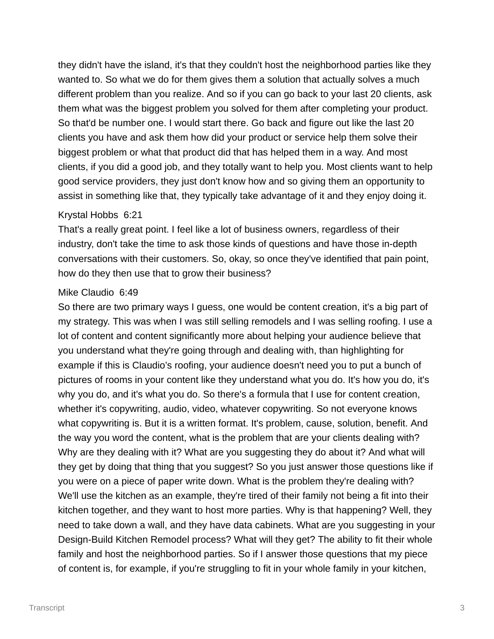they didn't have the island, it's that they couldn't host the neighborhood parties like they wanted to. So what we do for them gives them a solution that actually solves a much different problem than you realize. And so if you can go back to your last 20 clients, ask them what was the biggest problem you solved for them after completing your product. So that'd be number one. I would start there. Go back and figure out like the last 20 clients you have and ask them how did your product or service help them solve their biggest problem or what that product did that has helped them in a way. And most clients, if you did a good job, and they totally want to help you. Most clients want to help good service providers, they just don't know how and so giving them an opportunity to assist in something like that, they typically take advantage of it and they enjoy doing it.

#### Krystal Hobbs 6:21

That's a really great point. I feel like a lot of business owners, regardless of their industry, don't take the time to ask those kinds of questions and have those in-depth conversations with their customers. So, okay, so once they've identified that pain point, how do they then use that to grow their business?

## Mike Claudio 6:49

So there are two primary ways I guess, one would be content creation, it's a big part of my strategy. This was when I was still selling remodels and I was selling roofing. I use a lot of content and content significantly more about helping your audience believe that you understand what they're going through and dealing with, than highlighting for example if this is Claudio's roofing, your audience doesn't need you to put a bunch of pictures of rooms in your content like they understand what you do. It's how you do, it's why you do, and it's what you do. So there's a formula that I use for content creation, whether it's copywriting, audio, video, whatever copywriting. So not everyone knows what copywriting is. But it is a written format. It's problem, cause, solution, benefit. And the way you word the content, what is the problem that are your clients dealing with? Why are they dealing with it? What are you suggesting they do about it? And what will they get by doing that thing that you suggest? So you just answer those questions like if you were on a piece of paper write down. What is the problem they're dealing with? We'll use the kitchen as an example, they're tired of their family not being a fit into their kitchen together, and they want to host more parties. Why is that happening? Well, they need to take down a wall, and they have data cabinets. What are you suggesting in your Design-Build Kitchen Remodel process? What will they get? The ability to fit their whole family and host the neighborhood parties. So if I answer those questions that my piece of content is, for example, if you're struggling to fit in your whole family in your kitchen,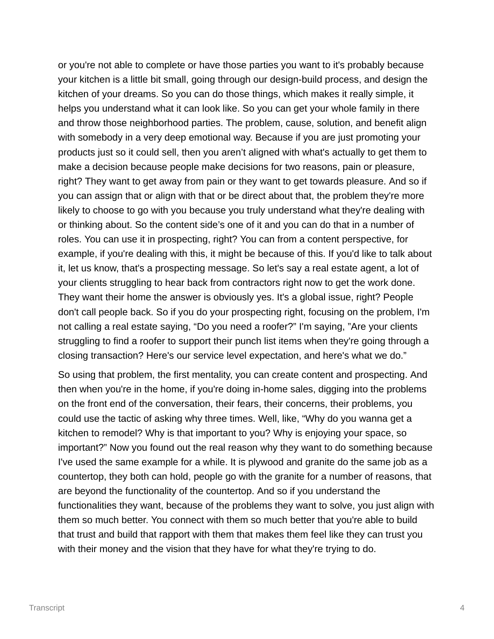or you're not able to complete or have those parties you want to it's probably because your kitchen is a little bit small, going through our design-build process, and design the kitchen of your dreams. So you can do those things, which makes it really simple, it helps you understand what it can look like. So you can get your whole family in there and throw those neighborhood parties. The problem, cause, solution, and benefit align with somebody in a very deep emotional way. Because if you are just promoting your products just so it could sell, then you aren't aligned with what's actually to get them to make a decision because people make decisions for two reasons, pain or pleasure, right? They want to get away from pain or they want to get towards pleasure. And so if you can assign that or align with that or be direct about that, the problem they're more likely to choose to go with you because you truly understand what they're dealing with or thinking about. So the content side's one of it and you can do that in a number of roles. You can use it in prospecting, right? You can from a content perspective, for example, if you're dealing with this, it might be because of this. If you'd like to talk about it, let us know, that's a prospecting message. So let's say a real estate agent, a lot of your clients struggling to hear back from contractors right now to get the work done. They want their home the answer is obviously yes. It's a global issue, right? People don't call people back. So if you do your prospecting right, focusing on the problem, I'm not calling a real estate saying, "Do you need a roofer?" I'm saying, "Are your clients struggling to find a roofer to support their punch list items when they're going through a closing transaction? Here's our service level expectation, and here's what we do."

So using that problem, the first mentality, you can create content and prospecting. And then when you're in the home, if you're doing in-home sales, digging into the problems on the front end of the conversation, their fears, their concerns, their problems, you could use the tactic of asking why three times. Well, like, "Why do you wanna get a kitchen to remodel? Why is that important to you? Why is enjoying your space, so important?" Now you found out the real reason why they want to do something because I've used the same example for a while. It is plywood and granite do the same job as a countertop, they both can hold, people go with the granite for a number of reasons, that are beyond the functionality of the countertop. And so if you understand the functionalities they want, because of the problems they want to solve, you just align with them so much better. You connect with them so much better that you're able to build that trust and build that rapport with them that makes them feel like they can trust you with their money and the vision that they have for what they're trying to do.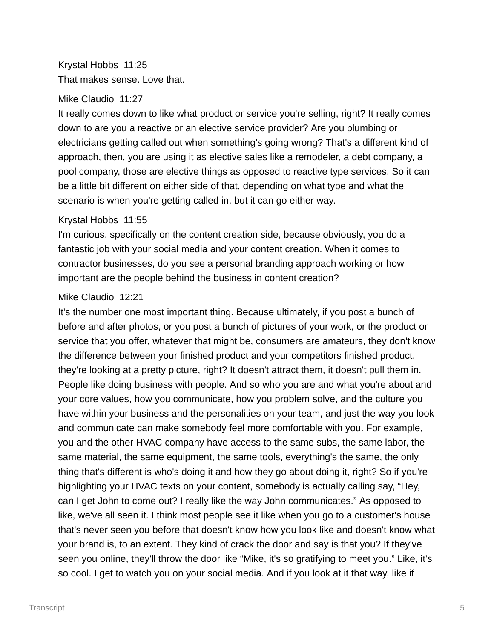Krystal Hobbs 11:25 That makes sense. Love that.

## Mike Claudio 11:27

It really comes down to like what product or service you're selling, right? It really comes down to are you a reactive or an elective service provider? Are you plumbing or electricians getting called out when something's going wrong? That's a different kind of approach, then, you are using it as elective sales like a remodeler, a debt company, a pool company, those are elective things as opposed to reactive type services. So it can be a little bit different on either side of that, depending on what type and what the scenario is when you're getting called in, but it can go either way.

## Krystal Hobbs 11:55

I'm curious, specifically on the content creation side, because obviously, you do a fantastic job with your social media and your content creation. When it comes to contractor businesses, do you see a personal branding approach working or how important are the people behind the business in content creation?

## Mike Claudio 12:21

It's the number one most important thing. Because ultimately, if you post a bunch of before and after photos, or you post a bunch of pictures of your work, or the product or service that you offer, whatever that might be, consumers are amateurs, they don't know the difference between your finished product and your competitors finished product, they're looking at a pretty picture, right? It doesn't attract them, it doesn't pull them in. People like doing business with people. And so who you are and what you're about and your core values, how you communicate, how you problem solve, and the culture you have within your business and the personalities on your team, and just the way you look and communicate can make somebody feel more comfortable with you. For example, you and the other HVAC company have access to the same subs, the same labor, the same material, the same equipment, the same tools, everything's the same, the only thing that's different is who's doing it and how they go about doing it, right? So if you're highlighting your HVAC texts on your content, somebody is actually calling say, "Hey, can I get John to come out? I really like the way John communicates." As opposed to like, we've all seen it. I think most people see it like when you go to a customer's house that's never seen you before that doesn't know how you look like and doesn't know what your brand is, to an extent. They kind of crack the door and say is that you? If they've seen you online, they'll throw the door like "Mike, it's so gratifying to meet you." Like, it's so cool. I get to watch you on your social media. And if you look at it that way, like if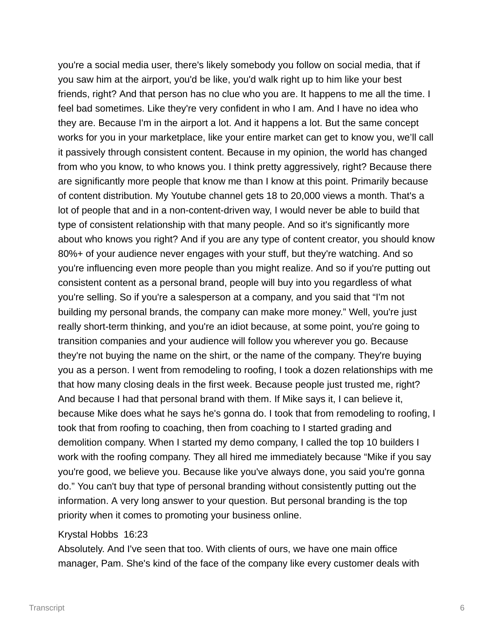you're a social media user, there's likely somebody you follow on social media, that if you saw him at the airport, you'd be like, you'd walk right up to him like your best friends, right? And that person has no clue who you are. It happens to me all the time. I feel bad sometimes. Like they're very confident in who I am. And I have no idea who they are. Because I'm in the airport a lot. And it happens a lot. But the same concept works for you in your marketplace, like your entire market can get to know you, we'll call it passively through consistent content. Because in my opinion, the world has changed from who you know, to who knows you. I think pretty aggressively, right? Because there are significantly more people that know me than I know at this point. Primarily because of content distribution. My Youtube channel gets 18 to 20,000 views a month. That's a lot of people that and in a non-content-driven way, I would never be able to build that type of consistent relationship with that many people. And so it's significantly more about who knows you right? And if you are any type of content creator, you should know 80%+ of your audience never engages with your stuff, but they're watching. And so you're influencing even more people than you might realize. And so if you're putting out consistent content as a personal brand, people will buy into you regardless of what you're selling. So if you're a salesperson at a company, and you said that "I'm not building my personal brands, the company can make more money." Well, you're just really short-term thinking, and you're an idiot because, at some point, you're going to transition companies and your audience will follow you wherever you go. Because they're not buying the name on the shirt, or the name of the company. They're buying you as a person. I went from remodeling to roofing, I took a dozen relationships with me that how many closing deals in the first week. Because people just trusted me, right? And because I had that personal brand with them. If Mike says it, I can believe it, because Mike does what he says he's gonna do. I took that from remodeling to roofing, I took that from roofing to coaching, then from coaching to I started grading and demolition company. When I started my demo company, I called the top 10 builders I work with the roofing company. They all hired me immediately because "Mike if you say you're good, we believe you. Because like you've always done, you said you're gonna do." You can't buy that type of personal branding without consistently putting out the information. A very long answer to your question. But personal branding is the top priority when it comes to promoting your business online.

## Krystal Hobbs 16:23

Absolutely. And I've seen that too. With clients of ours, we have one main office manager, Pam. She's kind of the face of the company like every customer deals with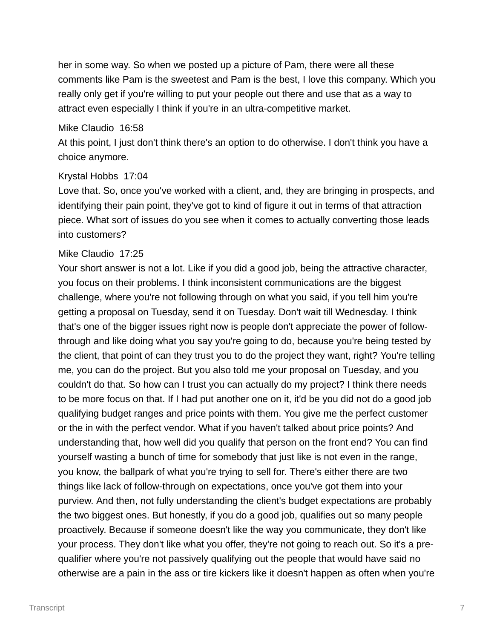her in some way. So when we posted up a picture of Pam, there were all these comments like Pam is the sweetest and Pam is the best, I love this company. Which you really only get if you're willing to put your people out there and use that as a way to attract even especially I think if you're in an ultra-competitive market.

#### Mike Claudio 16:58

At this point, I just don't think there's an option to do otherwise. I don't think you have a choice anymore.

## Krystal Hobbs 17:04

Love that. So, once you've worked with a client, and, they are bringing in prospects, and identifying their pain point, they've got to kind of figure it out in terms of that attraction piece. What sort of issues do you see when it comes to actually converting those leads into customers?

## Mike Claudio 17:25

Your short answer is not a lot. Like if you did a good job, being the attractive character, you focus on their problems. I think inconsistent communications are the biggest challenge, where you're not following through on what you said, if you tell him you're getting a proposal on Tuesday, send it on Tuesday. Don't wait till Wednesday. I think that's one of the bigger issues right now is people don't appreciate the power of followthrough and like doing what you say you're going to do, because you're being tested by the client, that point of can they trust you to do the project they want, right? You're telling me, you can do the project. But you also told me your proposal on Tuesday, and you couldn't do that. So how can I trust you can actually do my project? I think there needs to be more focus on that. If I had put another one on it, it'd be you did not do a good job qualifying budget ranges and price points with them. You give me the perfect customer or the in with the perfect vendor. What if you haven't talked about price points? And understanding that, how well did you qualify that person on the front end? You can find yourself wasting a bunch of time for somebody that just like is not even in the range, you know, the ballpark of what you're trying to sell for. There's either there are two things like lack of follow-through on expectations, once you've got them into your purview. And then, not fully understanding the client's budget expectations are probably the two biggest ones. But honestly, if you do a good job, qualifies out so many people proactively. Because if someone doesn't like the way you communicate, they don't like your process. They don't like what you offer, they're not going to reach out. So it's a prequalifier where you're not passively qualifying out the people that would have said no otherwise are a pain in the ass or tire kickers like it doesn't happen as often when you're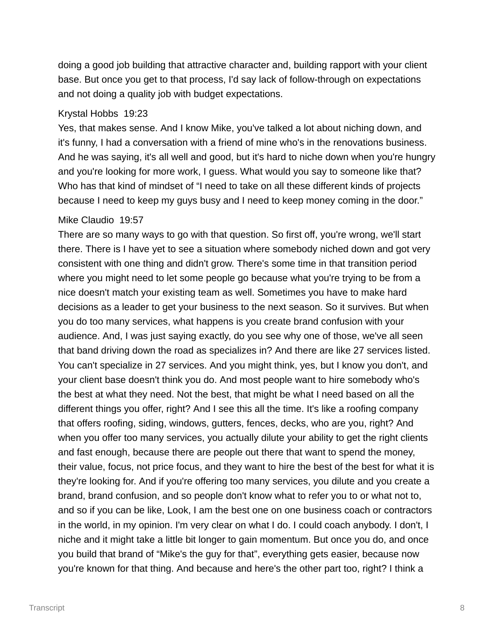doing a good job building that attractive character and, building rapport with your client base. But once you get to that process, I'd say lack of follow-through on expectations and not doing a quality job with budget expectations.

## Krystal Hobbs 19:23

Yes, that makes sense. And I know Mike, you've talked a lot about niching down, and it's funny, I had a conversation with a friend of mine who's in the renovations business. And he was saying, it's all well and good, but it's hard to niche down when you're hungry and you're looking for more work, I guess. What would you say to someone like that? Who has that kind of mindset of "I need to take on all these different kinds of projects because I need to keep my guys busy and I need to keep money coming in the door."

# Mike Claudio 19:57

There are so many ways to go with that question. So first off, you're wrong, we'll start there. There is I have yet to see a situation where somebody niched down and got very consistent with one thing and didn't grow. There's some time in that transition period where you might need to let some people go because what you're trying to be from a nice doesn't match your existing team as well. Sometimes you have to make hard decisions as a leader to get your business to the next season. So it survives. But when you do too many services, what happens is you create brand confusion with your audience. And, I was just saying exactly, do you see why one of those, we've all seen that band driving down the road as specializes in? And there are like 27 services listed. You can't specialize in 27 services. And you might think, yes, but I know you don't, and your client base doesn't think you do. And most people want to hire somebody who's the best at what they need. Not the best, that might be what I need based on all the different things you offer, right? And I see this all the time. It's like a roofing company that offers roofing, siding, windows, gutters, fences, decks, who are you, right? And when you offer too many services, you actually dilute your ability to get the right clients and fast enough, because there are people out there that want to spend the money, their value, focus, not price focus, and they want to hire the best of the best for what it is they're looking for. And if you're offering too many services, you dilute and you create a brand, brand confusion, and so people don't know what to refer you to or what not to, and so if you can be like, Look, I am the best one on one business coach or contractors in the world, in my opinion. I'm very clear on what I do. I could coach anybody. I don't, I niche and it might take a little bit longer to gain momentum. But once you do, and once you build that brand of "Mike's the guy for that", everything gets easier, because now you're known for that thing. And because and here's the other part too, right? I think a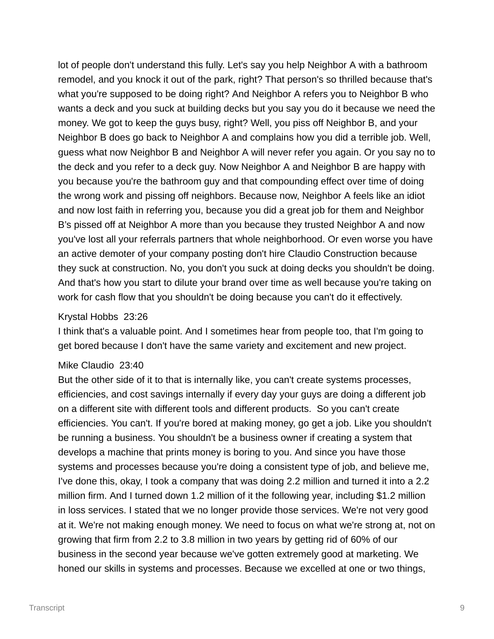lot of people don't understand this fully. Let's say you help Neighbor A with a bathroom remodel, and you knock it out of the park, right? That person's so thrilled because that's what you're supposed to be doing right? And Neighbor A refers you to Neighbor B who wants a deck and you suck at building decks but you say you do it because we need the money. We got to keep the guys busy, right? Well, you piss off Neighbor B, and your Neighbor B does go back to Neighbor A and complains how you did a terrible job. Well, guess what now Neighbor B and Neighbor A will never refer you again. Or you say no to the deck and you refer to a deck guy. Now Neighbor A and Neighbor B are happy with you because you're the bathroom guy and that compounding effect over time of doing the wrong work and pissing off neighbors. Because now, Neighbor A feels like an idiot and now lost faith in referring you, because you did a great job for them and Neighbor B's pissed off at Neighbor A more than you because they trusted Neighbor A and now you've lost all your referrals partners that whole neighborhood. Or even worse you have an active demoter of your company posting don't hire Claudio Construction because they suck at construction. No, you don't you suck at doing decks you shouldn't be doing. And that's how you start to dilute your brand over time as well because you're taking on work for cash flow that you shouldn't be doing because you can't do it effectively.

# Krystal Hobbs 23:26

I think that's a valuable point. And I sometimes hear from people too, that I'm going to get bored because I don't have the same variety and excitement and new project.

## Mike Claudio 23:40

But the other side of it to that is internally like, you can't create systems processes, efficiencies, and cost savings internally if every day your guys are doing a different job on a different site with different tools and different products. So you can't create efficiencies. You can't. If you're bored at making money, go get a job. Like you shouldn't be running a business. You shouldn't be a business owner if creating a system that develops a machine that prints money is boring to you. And since you have those systems and processes because you're doing a consistent type of job, and believe me, I've done this, okay, I took a company that was doing 2.2 million and turned it into a 2.2 million firm. And I turned down 1.2 million of it the following year, including \$1.2 million in loss services. I stated that we no longer provide those services. We're not very good at it. We're not making enough money. We need to focus on what we're strong at, not on growing that firm from 2.2 to 3.8 million in two years by getting rid of 60% of our business in the second year because we've gotten extremely good at marketing. We honed our skills in systems and processes. Because we excelled at one or two things,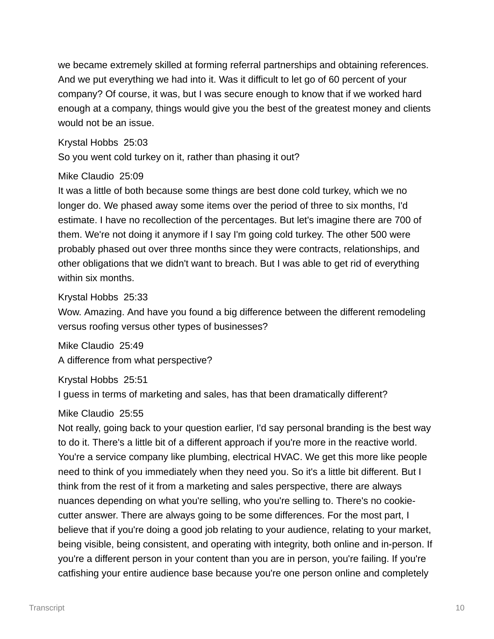we became extremely skilled at forming referral partnerships and obtaining references. And we put everything we had into it. Was it difficult to let go of 60 percent of your company? Of course, it was, but I was secure enough to know that if we worked hard enough at a company, things would give you the best of the greatest money and clients would not be an issue.

Krystal Hobbs 25:03

So you went cold turkey on it, rather than phasing it out?

# Mike Claudio 25:09

It was a little of both because some things are best done cold turkey, which we no longer do. We phased away some items over the period of three to six months, I'd estimate. I have no recollection of the percentages. But let's imagine there are 700 of them. We're not doing it anymore if I say I'm going cold turkey. The other 500 were probably phased out over three months since they were contracts, relationships, and other obligations that we didn't want to breach. But I was able to get rid of everything within six months.

Krystal Hobbs 25:33

Wow. Amazing. And have you found a big difference between the different remodeling versus roofing versus other types of businesses?

Mike Claudio 25:49 A difference from what perspective?

Krystal Hobbs 25:51

I guess in terms of marketing and sales, has that been dramatically different?

# Mike Claudio 25:55

Not really, going back to your question earlier, I'd say personal branding is the best way to do it. There's a little bit of a different approach if you're more in the reactive world. You're a service company like plumbing, electrical HVAC. We get this more like people need to think of you immediately when they need you. So it's a little bit different. But I think from the rest of it from a marketing and sales perspective, there are always nuances depending on what you're selling, who you're selling to. There's no cookiecutter answer. There are always going to be some differences. For the most part, I believe that if you're doing a good job relating to your audience, relating to your market, being visible, being consistent, and operating with integrity, both online and in-person. If you're a different person in your content than you are in person, you're failing. If you're catfishing your entire audience base because you're one person online and completely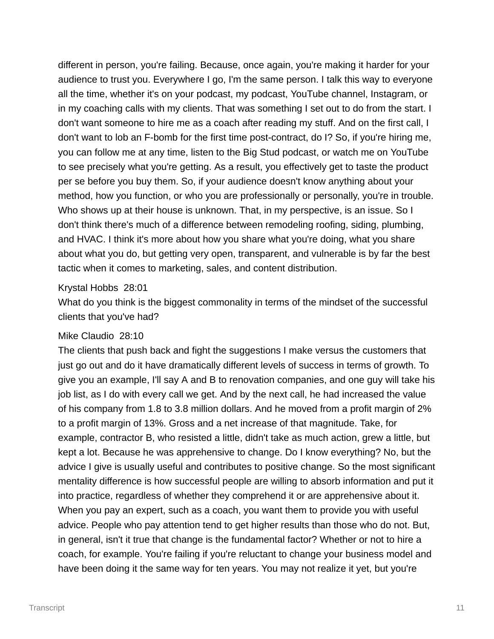different in person, you're failing. Because, once again, you're making it harder for your audience to trust you. Everywhere I go, I'm the same person. I talk this way to everyone all the time, whether it's on your podcast, my podcast, YouTube channel, Instagram, or in my coaching calls with my clients. That was something I set out to do from the start. I don't want someone to hire me as a coach after reading my stuff. And on the first call, I don't want to lob an F-bomb for the first time post-contract, do I? So, if you're hiring me, you can follow me at any time, listen to the Big Stud podcast, or watch me on YouTube to see precisely what you're getting. As a result, you effectively get to taste the product per se before you buy them. So, if your audience doesn't know anything about your method, how you function, or who you are professionally or personally, you're in trouble. Who shows up at their house is unknown. That, in my perspective, is an issue. So I don't think there's much of a difference between remodeling roofing, siding, plumbing, and HVAC. I think it's more about how you share what you're doing, what you share about what you do, but getting very open, transparent, and vulnerable is by far the best tactic when it comes to marketing, sales, and content distribution.

#### Krystal Hobbs 28:01

What do you think is the biggest commonality in terms of the mindset of the successful clients that you've had?

#### Mike Claudio 28:10

The clients that push back and fight the suggestions I make versus the customers that just go out and do it have dramatically different levels of success in terms of growth. To give you an example, I'll say A and B to renovation companies, and one guy will take his job list, as I do with every call we get. And by the next call, he had increased the value of his company from 1.8 to 3.8 million dollars. And he moved from a profit margin of 2% to a profit margin of 13%. Gross and a net increase of that magnitude. Take, for example, contractor B, who resisted a little, didn't take as much action, grew a little, but kept a lot. Because he was apprehensive to change. Do I know everything? No, but the advice I give is usually useful and contributes to positive change. So the most significant mentality difference is how successful people are willing to absorb information and put it into practice, regardless of whether they comprehend it or are apprehensive about it. When you pay an expert, such as a coach, you want them to provide you with useful advice. People who pay attention tend to get higher results than those who do not. But, in general, isn't it true that change is the fundamental factor? Whether or not to hire a coach, for example. You're failing if you're reluctant to change your business model and have been doing it the same way for ten years. You may not realize it yet, but you're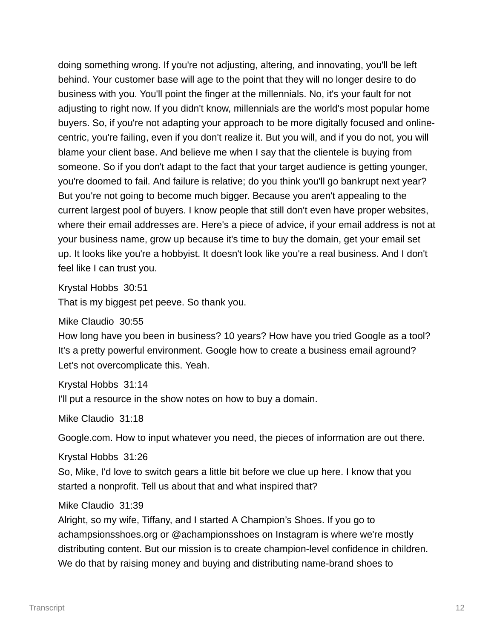doing something wrong. If you're not adjusting, altering, and innovating, you'll be left behind. Your customer base will age to the point that they will no longer desire to do business with you. You'll point the finger at the millennials. No, it's your fault for not adjusting to right now. If you didn't know, millennials are the world's most popular home buyers. So, if you're not adapting your approach to be more digitally focused and onlinecentric, you're failing, even if you don't realize it. But you will, and if you do not, you will blame your client base. And believe me when I say that the clientele is buying from someone. So if you don't adapt to the fact that your target audience is getting younger, you're doomed to fail. And failure is relative; do you think you'll go bankrupt next year? But you're not going to become much bigger. Because you aren't appealing to the current largest pool of buyers. I know people that still don't even have proper websites, where their email addresses are. Here's a piece of advice, if your email address is not at your business name, grow up because it's time to buy the domain, get your email set up. It looks like you're a hobbyist. It doesn't look like you're a real business. And I don't feel like I can trust you.

Krystal Hobbs 30:51

That is my biggest pet peeve. So thank you.

Mike Claudio 30:55

How long have you been in business? 10 years? How have you tried Google as a tool? It's a pretty powerful environment. Google how to create a business email aground? Let's not overcomplicate this. Yeah.

Krystal Hobbs 31:14

I'll put a resource in the show notes on how to buy a domain.

Mike Claudio 31:18

Google.com. How to input whatever you need, the pieces of information are out there.

Krystal Hobbs 31:26

So, Mike, I'd love to switch gears a little bit before we clue up here. I know that you started a nonprofit. Tell us about that and what inspired that?

Mike Claudio 31:39

Alright, so my wife, Tiffany, and I started A Champion's Shoes. If you go to achampsionsshoes.org or @achampionsshoes on Instagram is where we're mostly distributing content. But our mission is to create champion-level confidence in children. We do that by raising money and buying and distributing name-brand shoes to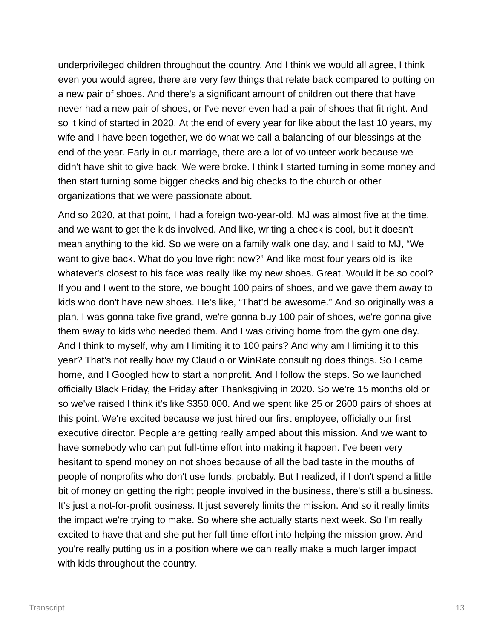underprivileged children throughout the country. And I think we would all agree, I think even you would agree, there are very few things that relate back compared to putting on a new pair of shoes. And there's a significant amount of children out there that have never had a new pair of shoes, or I've never even had a pair of shoes that fit right. And so it kind of started in 2020. At the end of every year for like about the last 10 years, my wife and I have been together, we do what we call a balancing of our blessings at the end of the year. Early in our marriage, there are a lot of volunteer work because we didn't have shit to give back. We were broke. I think I started turning in some money and then start turning some bigger checks and big checks to the church or other organizations that we were passionate about.

And so 2020, at that point, I had a foreign two-year-old. MJ was almost five at the time, and we want to get the kids involved. And like, writing a check is cool, but it doesn't mean anything to the kid. So we were on a family walk one day, and I said to MJ, "We want to give back. What do you love right now?" And like most four years old is like whatever's closest to his face was really like my new shoes. Great. Would it be so cool? If you and I went to the store, we bought 100 pairs of shoes, and we gave them away to kids who don't have new shoes. He's like, "That'd be awesome." And so originally was a plan, I was gonna take five grand, we're gonna buy 100 pair of shoes, we're gonna give them away to kids who needed them. And I was driving home from the gym one day. And I think to myself, why am I limiting it to 100 pairs? And why am I limiting it to this year? That's not really how my Claudio or WinRate consulting does things. So I came home, and I Googled how to start a nonprofit. And I follow the steps. So we launched officially Black Friday, the Friday after Thanksgiving in 2020. So we're 15 months old or so we've raised I think it's like \$350,000. And we spent like 25 or 2600 pairs of shoes at this point. We're excited because we just hired our first employee, officially our first executive director. People are getting really amped about this mission. And we want to have somebody who can put full-time effort into making it happen. I've been very hesitant to spend money on not shoes because of all the bad taste in the mouths of people of nonprofits who don't use funds, probably. But I realized, if I don't spend a little bit of money on getting the right people involved in the business, there's still a business. It's just a not-for-profit business. It just severely limits the mission. And so it really limits the impact we're trying to make. So where she actually starts next week. So I'm really excited to have that and she put her full-time effort into helping the mission grow. And you're really putting us in a position where we can really make a much larger impact with kids throughout the country.